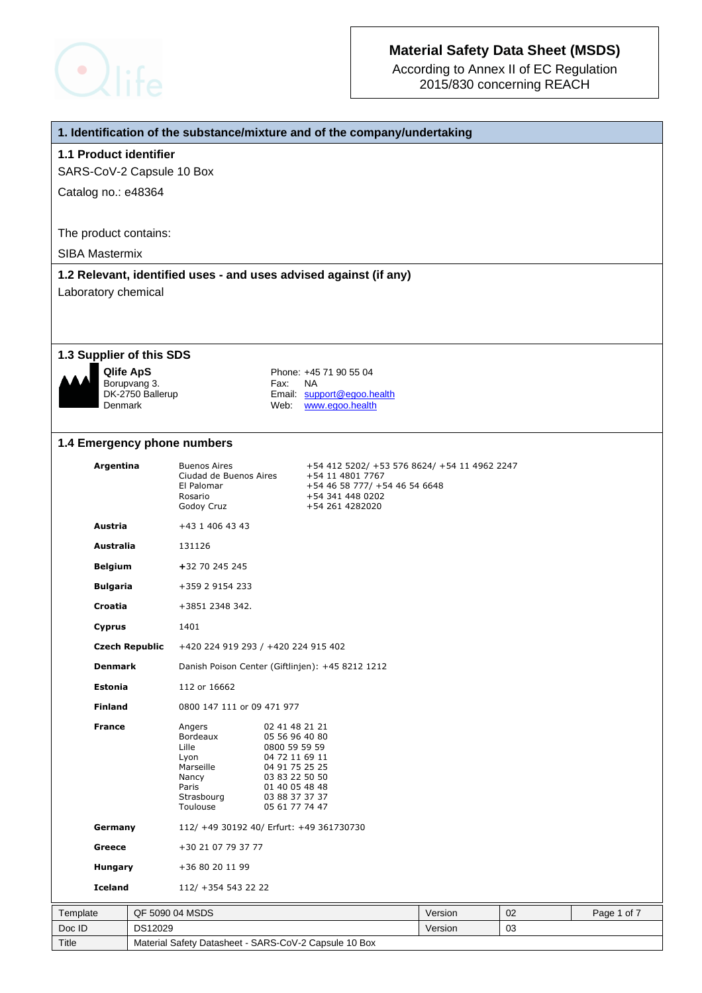

According to Annex II of EC Regulation 2015/830 concerning REACH

## **1. Identification of the substance/mixture and of the company/undertaking**

#### **1.1 Product identifier**

SARS-CoV-2 Capsule 10 Box

Catalog no.: e48364

The product contains:

SIBA Mastermix

#### **1.2 Relevant, identified uses - and uses advised against (if any)**

Laboratory chemical

#### **1.3 Supplier of this SDS**



Borupvang 3.<br>DK-2750 Ballerup

**Qlife ApS** Phone: +45 71 90 55 04<br>Borupvang 3. **Phone: +45 71 90 55 04** DK-2750 Ballerup Email: support@egoo.health<br>Denmark Web: www.egoo.health Web: [www.egoo.health](http://www.egoo.health/)

#### **1.4 Emergency phone numbers**

| Argentina                                           |                                                  | <b>Buenos Aires</b><br>Ciudad de Buenos Aires<br>El Palomar<br>Rosario<br>Godoy Cruz         |                                                                                                                                                               | +54 412 5202/ +53 576 8624/ +54 11 4962 2247<br>+54 11 4801 7767<br>+54 46 58 777/ +54 46 54 6648<br>+54 341 448 0202<br>+54 261 4282020 |         |    |             |
|-----------------------------------------------------|--------------------------------------------------|----------------------------------------------------------------------------------------------|---------------------------------------------------------------------------------------------------------------------------------------------------------------|------------------------------------------------------------------------------------------------------------------------------------------|---------|----|-------------|
| Austria                                             |                                                  | +43 1 406 43 43                                                                              |                                                                                                                                                               |                                                                                                                                          |         |    |             |
|                                                     | <b>Australia</b><br>131126                       |                                                                                              |                                                                                                                                                               |                                                                                                                                          |         |    |             |
|                                                     | <b>Belgium</b><br>+32 70 245 245                 |                                                                                              |                                                                                                                                                               |                                                                                                                                          |         |    |             |
| <b>Bulgaria</b>                                     |                                                  | +359 2 9154 233                                                                              |                                                                                                                                                               |                                                                                                                                          |         |    |             |
| Croatia                                             |                                                  | +3851 2348 342.                                                                              |                                                                                                                                                               |                                                                                                                                          |         |    |             |
| Cyprus                                              |                                                  | 1401                                                                                         |                                                                                                                                                               |                                                                                                                                          |         |    |             |
|                                                     | <b>Czech Republic</b>                            | +420 224 919 293 / +420 224 915 402                                                          |                                                                                                                                                               |                                                                                                                                          |         |    |             |
| <b>Denmark</b>                                      | Danish Poison Center (Giftlinjen): +45 8212 1212 |                                                                                              |                                                                                                                                                               |                                                                                                                                          |         |    |             |
|                                                     | Estonia<br>112 or 16662                          |                                                                                              |                                                                                                                                                               |                                                                                                                                          |         |    |             |
| <b>Finland</b>                                      |                                                  | 0800 147 111 or 09 471 977                                                                   |                                                                                                                                                               |                                                                                                                                          |         |    |             |
| <b>France</b>                                       |                                                  | Angers<br>Bordeaux<br>Lille<br>Lyon<br>Marseille<br>Nancy<br>Paris<br>Strasbourg<br>Toulouse | 02 41 48 21 21<br>05 56 96 40 80<br>0800 59 59 59<br>04 72 11 69 11<br>04 91 75 25 25<br>03 83 22 50 50<br>01 40 05 48 48<br>03 88 37 37 37<br>05 61 77 74 47 |                                                                                                                                          |         |    |             |
| Germany<br>112/ +49 30192 40/ Erfurt: +49 361730730 |                                                  |                                                                                              |                                                                                                                                                               |                                                                                                                                          |         |    |             |
| Greece                                              |                                                  | +30 21 07 79 37 77                                                                           |                                                                                                                                                               |                                                                                                                                          |         |    |             |
| Hungary                                             |                                                  | +36 80 20 11 99                                                                              |                                                                                                                                                               |                                                                                                                                          |         |    |             |
| <b>Iceland</b>                                      |                                                  | 112/ +354 543 22 22                                                                          |                                                                                                                                                               |                                                                                                                                          |         |    |             |
| Template                                            |                                                  | QF 5090 04 MSDS                                                                              |                                                                                                                                                               |                                                                                                                                          | Version | 02 | Page 1 of 7 |
| Doc ID                                              | DS12029                                          |                                                                                              |                                                                                                                                                               |                                                                                                                                          | Version | 03 |             |
| Title                                               |                                                  | Material Safety Datasheet - SARS-CoV-2 Capsule 10 Box                                        |                                                                                                                                                               |                                                                                                                                          |         |    |             |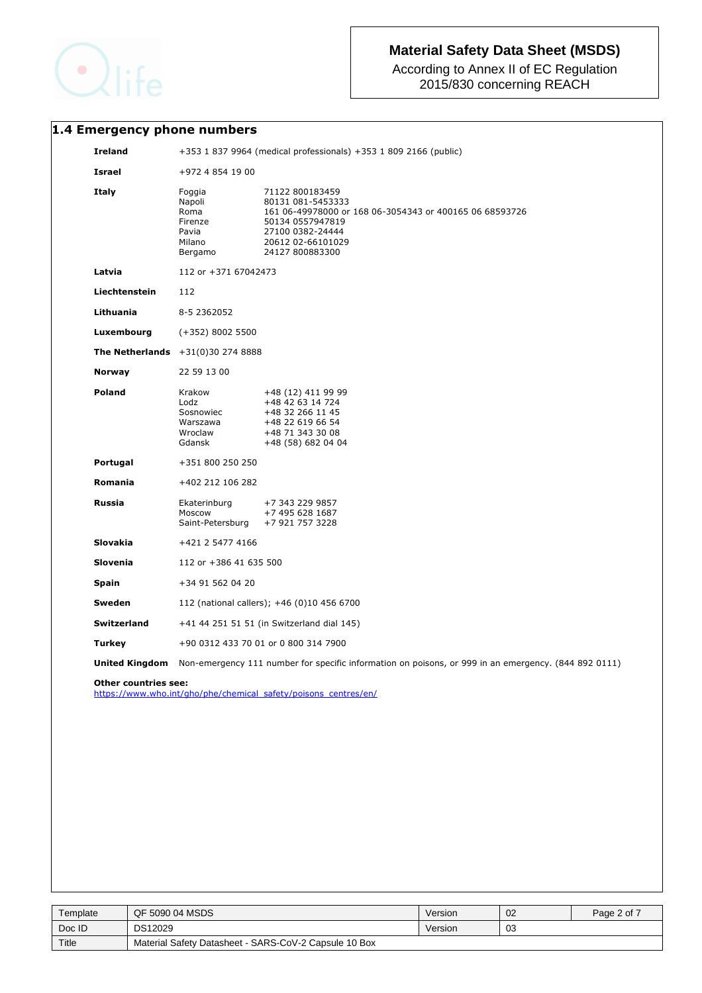

According to Annex II of EC Regulation 2015/830 concerning REACH

# **1.4 Emergency phone numbers**

| <b>Ireland</b>                               |                                                                   | +353 1 837 9964 (medical professionals) +353 1 809 2166 (public)                                                                                                                |
|----------------------------------------------|-------------------------------------------------------------------|---------------------------------------------------------------------------------------------------------------------------------------------------------------------------------|
| <b>Israel</b>                                | +972 4 854 19 00                                                  |                                                                                                                                                                                 |
| Italy                                        | Foggia<br>Napoli<br>Roma<br>Firenze<br>Pavia<br>Milano<br>Bergamo | 71122 800183459<br>80131 081-5453333<br>161 06-49978000 or 168 06-3054343 or 400165 06 68593726<br>50134 0557947819<br>27100 0382-24444<br>20612 02-66101029<br>24127 800883300 |
| Latvia                                       | 112 or +371 67042473                                              |                                                                                                                                                                                 |
| Liechtenstein                                | 112                                                               |                                                                                                                                                                                 |
| Lithuania                                    | 8-5 2362052                                                       |                                                                                                                                                                                 |
| Luxembourg                                   | $(+352)$ 8002 5500                                                |                                                                                                                                                                                 |
|                                              | <b>The Netherlands</b> $+31(0)30 274 8888$                        |                                                                                                                                                                                 |
| <b>Norway</b>                                | 22 59 13 00                                                       |                                                                                                                                                                                 |
| <b>Poland</b>                                | Krakow<br>Lodz<br>Sosnowiec<br>Warszawa<br>Wroclaw<br>Gdansk      | +48 (12) 411 99 99<br>+48 42 63 14 724<br>+48 32 266 11 45<br>+48 22 619 66 54<br>+48 71 343 30 08<br>+48 (58) 682 04 04                                                        |
| Portugal                                     | +351 800 250 250                                                  |                                                                                                                                                                                 |
| Romania                                      | +402 212 106 282                                                  |                                                                                                                                                                                 |
| Russia                                       | Ekaterinburg<br>Moscow<br>Saint-Petersburg                        | +7 343 229 9857<br>+7 495 628 1687<br>+7 921 757 3228                                                                                                                           |
| <b>Slovakia</b>                              | +421 2 5477 4166                                                  |                                                                                                                                                                                 |
| <b>Slovenia</b>                              | 112 or +386 41 635 500                                            |                                                                                                                                                                                 |
|                                              |                                                                   |                                                                                                                                                                                 |
|                                              | +34 91 562 04 20                                                  |                                                                                                                                                                                 |
|                                              |                                                                   | 112 (national callers); +46 (0)10 456 6700                                                                                                                                      |
| <b>Spain</b><br><b>Sweden</b><br>Switzerland |                                                                   | +41 44 251 51 51 (in Switzerland dial 145)                                                                                                                                      |
| <b>Turkey</b>                                |                                                                   | +90 0312 433 70 01 or 0 800 314 7900                                                                                                                                            |

| Template | QF 5090 04 MSDS                                       | Version | 02 | Page 2 of 7 |
|----------|-------------------------------------------------------|---------|----|-------------|
| Doc ID   | DS12029                                               | Version | 03 |             |
| Title    | Material Safety Datasheet - SARS-CoV-2 Capsule 10 Box |         |    |             |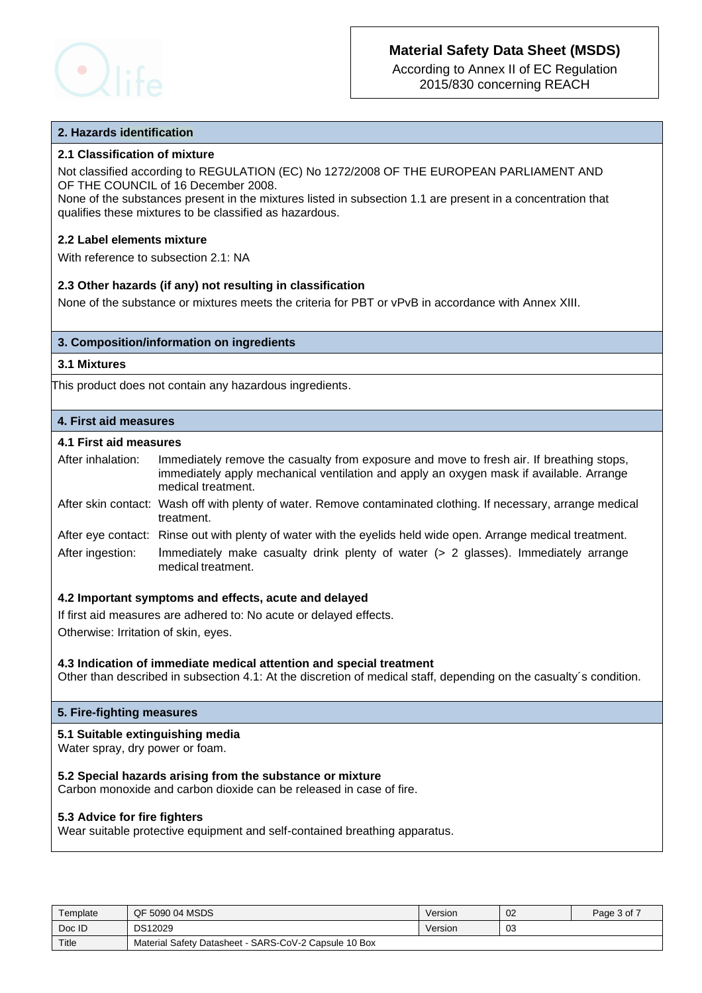



According to Annex II of EC Regulation 2015/830 concerning REACH

#### **2. Hazards identification**

## **2.1 Classification of mixture**

Not classified according to REGULATION (EC) No 1272/2008 OF THE EUROPEAN PARLIAMENT AND OF THE COUNCIL of 16 December 2008.

None of the substances present in the mixtures listed in subsection 1.1 are present in a concentration that qualifies these mixtures to be classified as hazardous.

## **2.2 Label elements mixture**

With reference to subsection 2.1: NA

## **2.3 Other hazards (if any) not resulting in classification**

None of the substance or mixtures meets the criteria for PBT or vPvB in accordance with Annex XIII.

#### **3. Composition/information on ingredients**

#### **3.1 Mixtures**

This product does not contain any hazardous ingredients.

#### **4. First aid measures**

## **4.1 First aid measures**

After inhalation: Immediately remove the casualty from exposure and move to fresh air. If breathing stops, immediately apply mechanical ventilation and apply an oxygen mask if available. Arrange medical treatment.

After skin contact: Wash off with plenty of water. Remove contaminated clothing. If necessary, arrange medical treatment.

After eye contact: Rinse out with plenty of water with the eyelids held wide open. Arrange medical treatment.

After ingestion: Immediately make casualty drink plenty of water (> 2 glasses). Immediately arrange medical treatment.

## **4.2 Important symptoms and effects, acute and delayed**

If first aid measures are adhered to: No acute or delayed effects.

Otherwise: Irritation of skin, eyes.

#### **4.3 Indication of immediate medical attention and special treatment**

Other than described in subsection 4.1: At the discretion of medical staff, depending on the casualty´s condition.

### **5. Fire-fighting measures**

#### **5.1 Suitable extinguishing media**

Water spray, dry power or foam.

#### **5.2 Special hazards arising from the substance or mixture**

Carbon monoxide and carbon dioxide can be released in case of fire.

#### **5.3 Advice for fire fighters**

Wear suitable protective equipment and self-contained breathing apparatus.

| Template | QF 5090 04 MSDS                                       | Version | 02 | Page 3 of 7 |
|----------|-------------------------------------------------------|---------|----|-------------|
| Doc ID   | <b>DS12029</b>                                        | Version | 03 |             |
| Title    | Material Safety Datasheet - SARS-CoV-2 Capsule 10 Box |         |    |             |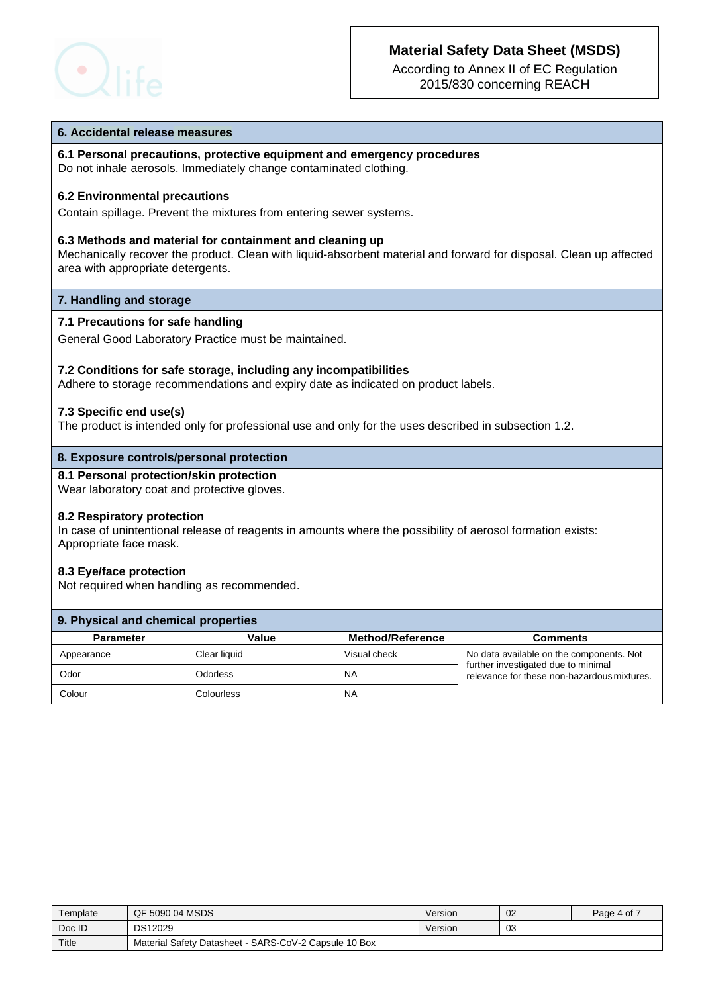



According to Annex II of EC Regulation 2015/830 concerning REACH

#### **6. Accidental release measures**

**6.1 Personal precautions, protective equipment and emergency procedures** Do not inhale aerosols. Immediately change contaminated clothing.

#### **6.2 Environmental precautions**

Contain spillage. Prevent the mixtures from entering sewer systems.

#### **6.3 Methods and material for containment and cleaning up**

Mechanically recover the product. Clean with liquid-absorbent material and forward for disposal. Clean up affected area with appropriate detergents.

#### **7. Handling and storage**

#### **7.1 Precautions for safe handling**

General Good Laboratory Practice must be maintained.

#### **7.2 Conditions for safe storage, including any incompatibilities**

Adhere to storage recommendations and expiry date as indicated on product labels.

#### **7.3 Specific end use(s)**

The product is intended only for professional use and only for the uses described in subsection 1.2.

## **8. Exposure controls/personal protection**

 **8.1 Personal protection/skin protection**

Wear laboratory coat and protective gloves.

#### **8.2 Respiratory protection**

 In case of unintentional release of reagents in amounts where the possibility of aerosol formation exists: Appropriate face mask.

#### **8.3 Eye/face protection**

Not required when handling as recommended.

| 9. Physical and chemical properties |              |                         |                                                                                    |  |  |  |  |
|-------------------------------------|--------------|-------------------------|------------------------------------------------------------------------------------|--|--|--|--|
| <b>Parameter</b>                    | Value        | <b>Method/Reference</b> | <b>Comments</b>                                                                    |  |  |  |  |
| Appearance                          | Clear liquid | Visual check            | No data available on the components. Not                                           |  |  |  |  |
| Odor                                | Odorless     | <b>NA</b>               | further investigated due to minimal<br>relevance for these non-hazardous mixtures. |  |  |  |  |
| Colour                              | Colourless   | <b>NA</b>               |                                                                                    |  |  |  |  |

| Template | QF 5090 04 MSDS                                       | Version | 02 | Page 4 of 7 |
|----------|-------------------------------------------------------|---------|----|-------------|
| Doc ID   | <b>DS12029</b>                                        | Version | 03 |             |
| Title    | Material Safety Datasheet - SARS-CoV-2 Capsule 10 Box |         |    |             |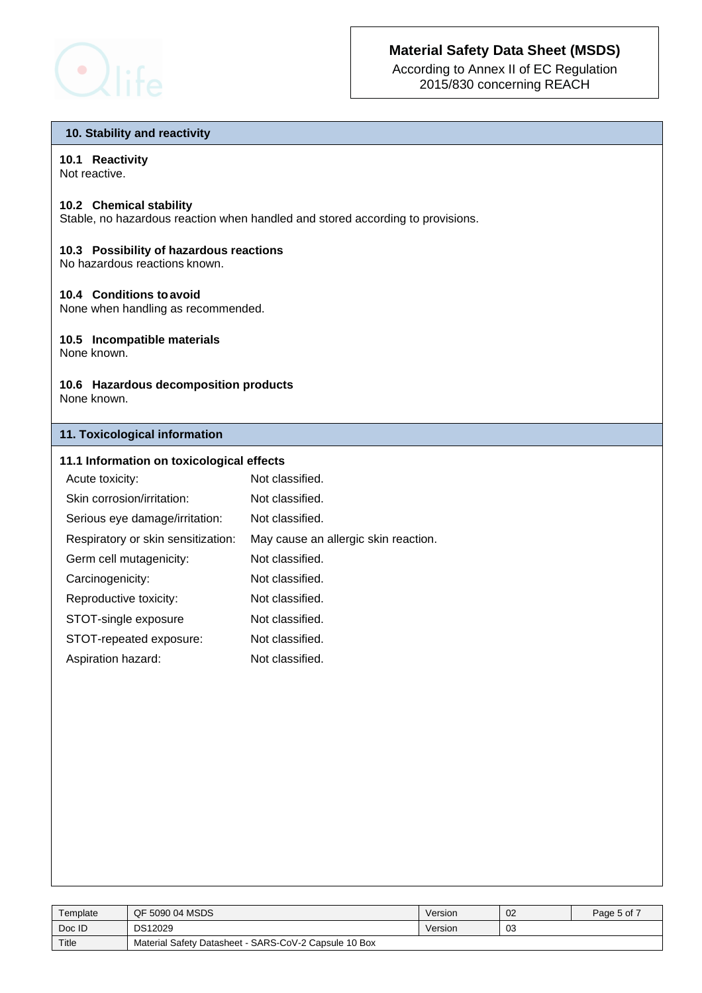

According to Annex II of EC Regulation 2015/830 concerning REACH

## **10. Stability and reactivity**

## **10.1 Reactivity**

Not reactive.

## **10.2 Chemical stability**

Stable, no hazardous reaction when handled and stored according to provisions.

## **10.3 Possibility of hazardous reactions**

No hazardous reactions known.

## **10.4 Conditions toavoid**

None when handling as recommended.

## **10.5 Incompatible materials**

None known.

#### **10.6 Hazardous decomposition products** None known.

## **11. Toxicological information**

## **11.1 Information on toxicological effects**

| Acute toxicity:                    | Not classified.                      |
|------------------------------------|--------------------------------------|
| Skin corrosion/irritation:         | Not classified.                      |
| Serious eye damage/irritation:     | Not classified.                      |
| Respiratory or skin sensitization: | May cause an allergic skin reaction. |
| Germ cell mutagenicity:            | Not classified.                      |
| Carcinogenicity:                   | Not classified.                      |
| Reproductive toxicity:             | Not classified.                      |
| STOT-single exposure               | Not classified.                      |
| STOT-repeated exposure:            | Not classified.                      |
| Aspiration hazard:                 | Not classified.                      |

| Template | QF 5090 04 MSDS                                       | Version | 02 | Page 5 of 7 |
|----------|-------------------------------------------------------|---------|----|-------------|
| Doc ID   | DS12029                                               | Version | 03 |             |
| Title    | Material Safety Datasheet - SARS-CoV-2 Capsule 10 Box |         |    |             |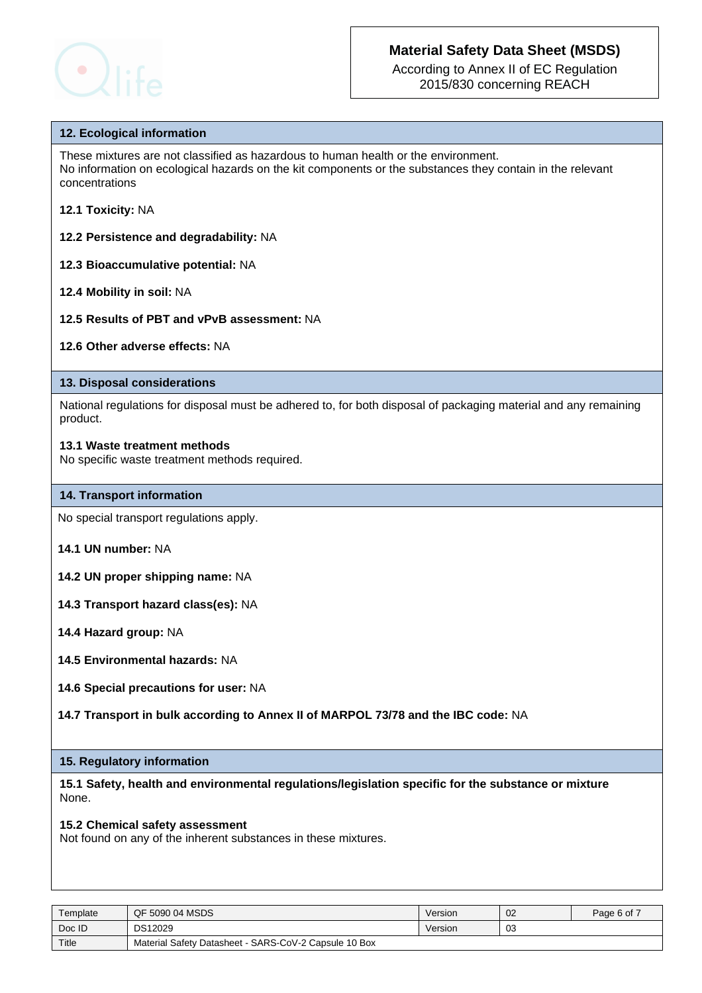

According to Annex II of EC Regulation 2015/830 concerning REACH

#### **12. Ecological information**

These mixtures are not classified as hazardous to human health or the environment. No information on ecological hazards on the kit components or the substances they contain in the relevant concentrations

- **12.1 Toxicity:** NA
- **12.2 Persistence and degradability:** NA
- **12.3 Bioaccumulative potential:** NA
- **12.4 Mobility in soil:** NA
- **12.5 Results of PBT and vPvB assessment:** NA
- **12.6 Other adverse effects:** NA

## **13. Disposal considerations**

National regulations for disposal must be adhered to, for both disposal of packaging material and any remaining product.

#### **13.1 Waste treatment methods**

No specific waste treatment methods required.

#### **14. Transport information**

No special transport regulations apply.

**14.1 UN number:** NA

- **14.2 UN proper shipping name:** NA
- **14.3 Transport hazard class(es):** NA
- **14.4 Hazard group:** NA
- **14.5 Environmental hazards:** NA
- **14.6 Special precautions for user:** NA
- **14.7 Transport in bulk according to Annex II of MARPOL 73/78 and the IBC code:** NA

#### **15. Regulatory information**

**15.1 Safety, health and environmental regulations/legislation specific for the substance or mixture** None.

#### **15.2 Chemical safety assessment**

Not found on any of the inherent substances in these mixtures.

| Template | QF 5090 04 MSDS                                       | Version | 02 | Page 6 of 7 |
|----------|-------------------------------------------------------|---------|----|-------------|
| Doc ID   | <b>DS12029</b>                                        | Version | 03 |             |
| Title    | Material Safety Datasheet - SARS-CoV-2 Capsule 10 Box |         |    |             |